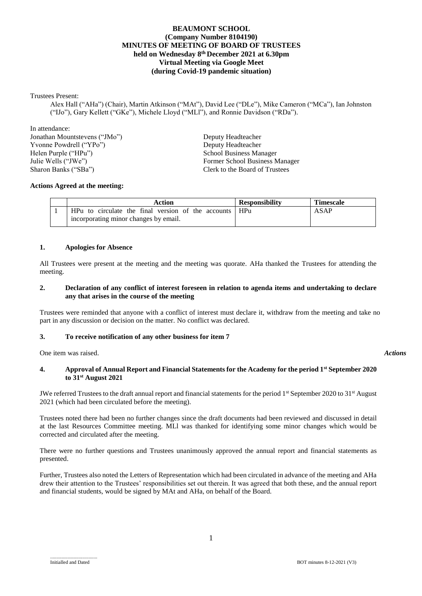# **BEAUMONT SCHOOL (Company Number 8104190) MINUTES OF MEETING OF BOARD OF TRUSTEES held on Wednesday 8th December 2021 at 6.30pm Virtual Meeting via Google Meet (during Covid-19 pandemic situation)**

### Trustees Present:

Alex Hall ("AHa") (Chair), Martin Atkinson ("MAt"), David Lee ("DLe"), Mike Cameron ("MCa"), Ian Johnston ("IJo"), Gary Kellett ("GKe"), Michele Lloyd ("MLl"), and Ronnie Davidson ("RDa").

In attendance: Jonathan Mountstevens ("JMo") Deputy Headteacher Yvonne Powdrell ("YPo")<br>
Helen Purple ("HPu") Deputy Headteacher<br>
School Business Ma Helen Purple ("HPu") School Business Manager<br>
Julie Wells ("JWe") School Business Manager<br>
Former School Business N Sharon Banks ("SBa") Clerk to the Board of Trustees

Former School Business Manager

## **Actions Agreed at the meeting:**

| Action                                             | <b>Responsibility</b> | <b>Timescale</b> |
|----------------------------------------------------|-----------------------|------------------|
| HPu to circulate the final version of the accounts | HPu                   | ASAP             |
| incorporating minor changes by email.              |                       |                  |

### **1. Apologies for Absence**

All Trustees were present at the meeting and the meeting was quorate. AHa thanked the Trustees for attending the meeting.

### **2. Declaration of any conflict of interest foreseen in relation to agenda items and undertaking to declare any that arises in the course of the meeting**

Trustees were reminded that anyone with a conflict of interest must declare it, withdraw from the meeting and take no part in any discussion or decision on the matter. No conflict was declared.

## **3. To receive notification of any other business for item 7**

One item was raised. *Actions*

## **4. Approval of Annual Report and Financial Statements for the Academy for the period 1st September 2020 to 31st August 2021**

JWe referred Trustees to the draft annual report and financial statements for the period  $1<sup>st</sup>$  September 2020 to 31<sup>st</sup> August 2021 (which had been circulated before the meeting).

Trustees noted there had been no further changes since the draft documents had been reviewed and discussed in detail at the last Resources Committee meeting. MLl was thanked for identifying some minor changes which would be corrected and circulated after the meeting.

There were no further questions and Trustees unanimously approved the annual report and financial statements as presented.

Further, Trustees also noted the Letters of Representation which had been circulated in advance of the meeting and AHa drew their attention to the Trustees' responsibilities set out therein. It was agreed that both these, and the annual report and financial students, would be signed by MAt and AHa, on behalf of the Board.